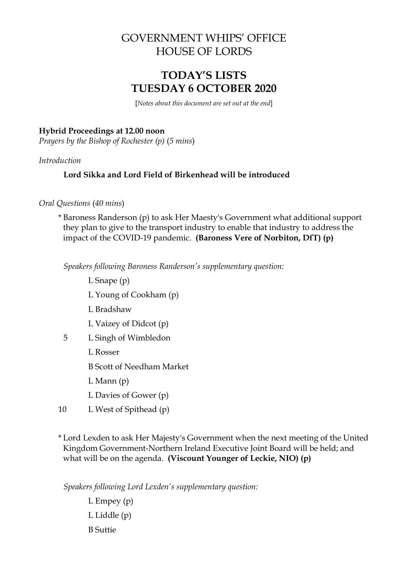# GOVERNMENT WHIPS' OFFICE HOUSE OF LORDS

# **TODAY'S LISTS TUESDAY 6 OCTOBER 2020**

[*Notes about this document are set out at the end*]

### **Hybrid Proceedings at 12.00 noon**

*Prayers by the Bishop of Rochester (p)* (*5 mins*)

*Introduction*

# **Lord Sikka and Lord Field of Birkenhead will be introduced**

*Oral Questions* (*40 mins*)

\* Baroness Randerson (p) to ask Her Maesty's Government what additional support they plan to give to the transport industry to enable that industry to address the impact of the COVID-19 pandemic. **(Baroness Vere of Norbiton, DfT) (p)**

*Speakers following Baroness Randerson's supplementary question:*

- L Snape (p)
- L Young of Cookham (p)
- L Bradshaw
- L Vaizey of Didcot (p)
- 5 L Singh of Wimbledon
	- L Rosser

B Scott of Needham Market

- L Mann (p)
- L Davies of Gower (p)
- 10 L West of Spithead (p)

\* Lord Lexden to ask Her Majesty's Government when the next meeting of the United Kingdom Government-Northern Ireland Executive Joint Board will be held; and what will be on the agenda. **(Viscount Younger of Leckie, NIO) (p)**

*Speakers following Lord Lexden's supplementary question:*

L Empey (p) L Liddle (p) B Suttie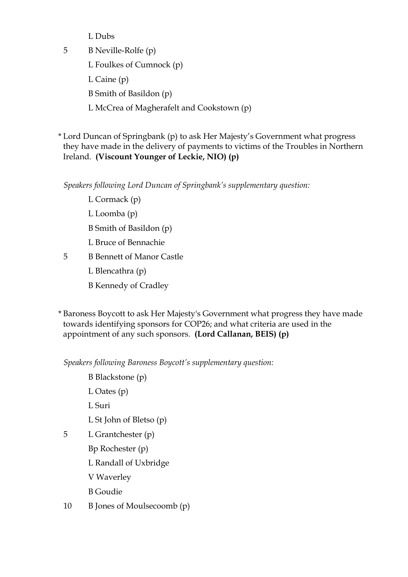L Dubs

5 B Neville-Rolfe (p)

L Foulkes of Cumnock (p)

L Caine (p)

B Smith of Basildon (p)

L McCrea of Magherafelt and Cookstown (p)

\* Lord Duncan of Springbank (p) to ask Her Majesty's Government what progress they have made in the delivery of payments to victims of the Troubles in Northern Ireland. **(Viscount Younger of Leckie, NIO) (p)**

*Speakers following Lord Duncan of Springbank's supplementary question:*

- L Cormack (p)
- L Loomba (p)
- B Smith of Basildon (p)
- L Bruce of Bennachie
- 5 B Bennett of Manor Castle
	- L Blencathra (p)
	- B Kennedy of Cradley

\* Baroness Boycott to ask Her Majesty's Government what progress they have made towards identifying sponsors for COP26; and what criteria are used in the appointment of any such sponsors. **(Lord Callanan, BEIS) (p)**

*Speakers following Baroness Boycott's supplementary question:*

B Blackstone (p)

L Oates (p)

L Suri

- L St John of Bletso (p)
- 5 L Grantchester (p)
	- Bp Rochester (p)
		- L Randall of Uxbridge
		- V Waverley
		- B Goudie
- 10 B Jones of Moulsecoomb (p)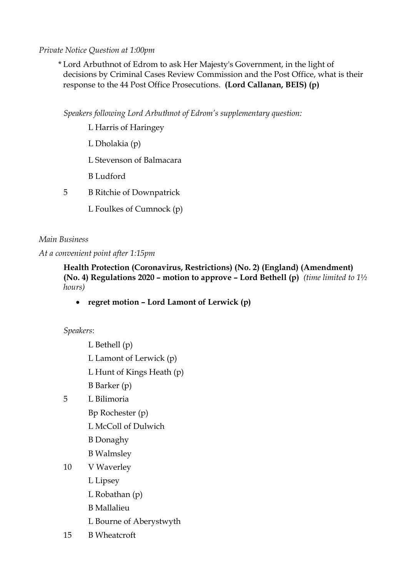## *Private Notice Question at 1:00pm*

\* Lord Arbuthnot of Edrom to ask Her Majesty's Government, in the light of decisions by Criminal Cases Review Commission and the Post Office, what is their response to the 44 Post Office Prosecutions. **(Lord Callanan, BEIS) (p)**

*Speakers following Lord Arbuthnot of Edrom's supplementary question:*

- L Harris of Haringey
- L Dholakia (p)
- L Stevenson of Balmacara
- B Ludford
- 5 B Ritchie of Downpatrick
	- L Foulkes of Cumnock (p)

## *Main Business*

*At a convenient point after 1:15pm*

**Health Protection (Coronavirus, Restrictions) (No. 2) (England) (Amendment) (No. 4) Regulations 2020 – motion to approve – Lord Bethell (p)** *(time limited to 1½ hours)*

• **regret motion – Lord Lamont of Lerwick (p)**

*Speakers*:

- L Bethell (p) L Lamont of Lerwick (p) L Hunt of Kings Heath (p) B Barker (p) 5 L Bilimoria Bp Rochester (p) L McColl of Dulwich B Donaghy
	- B Walmsley
- 10 V Waverley
	- L Lipsey
	- L Robathan (p)
	- B Mallalieu
	- L Bourne of Aberystwyth
- 15 B Wheatcroft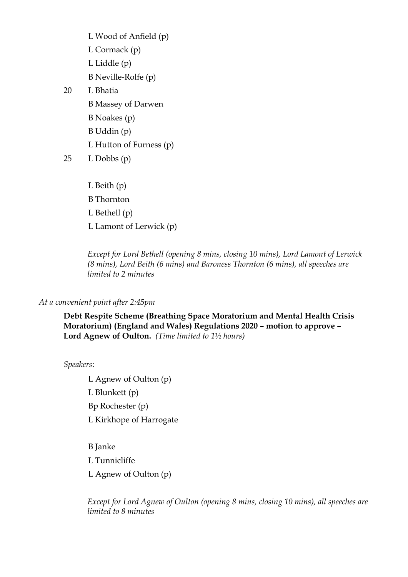- L Wood of Anfield (p) L Cormack (p) L Liddle (p) B Neville-Rolfe (p) 20 L Bhatia B Massey of Darwen B Noakes (p)
	- B Uddin (p)
	- L Hutton of Furness (p)

 $25$  L Dobbs  $(p)$ 

L Beith (p) B Thornton L Bethell (p) L Lamont of Lerwick (p)

*Except for Lord Bethell (opening 8 mins, closing 10 mins), Lord Lamont of Lerwick (8 mins), Lord Beith (6 mins) and Baroness Thornton (6 mins), all speeches are limited to 2 minutes* 

# *At a convenient point after 2:45pm*

**Debt Respite Scheme (Breathing Space Moratorium and Mental Health Crisis Moratorium) (England and Wales) Regulations 2020 – motion to approve – Lord Agnew of Oulton.** *(Time limited to 1½ hours)*

*Speakers*:

L Agnew of Oulton (p) L Blunkett (p) Bp Rochester (p) L Kirkhope of Harrogate

B Janke L Tunnicliffe L Agnew of Oulton (p)

*Except for Lord Agnew of Oulton (opening 8 mins, closing 10 mins), all speeches are limited to 8 minutes*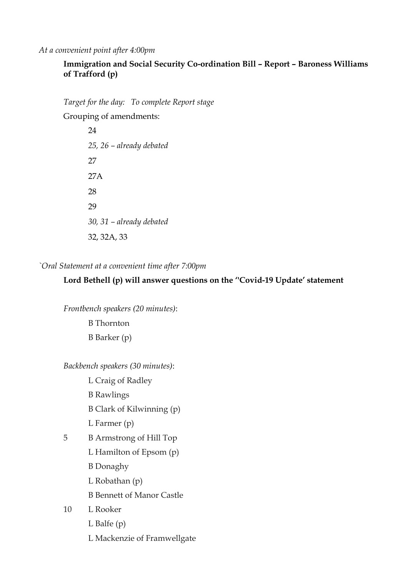*At a convenient point after 4:00pm*

## **Immigration and Social Security Co-ordination Bill – Report – Baroness Williams of Trafford (p)**

*Target for the day: To complete Report stage*

Grouping of amendments:

24 *25, 26 – already debated* 27 27A 28 29 *30, 31 – already debated*  32, 32A, 33

*`Oral Statement at a convenient time after 7:00pm*

### **Lord Bethell (p) will answer questions on the ''Covid-19 Update' statement**

*Frontbench speakers (20 minutes)*:

B Thornton

B Barker (p)

*Backbench speakers (30 minutes)*:

L Craig of Radley

B Rawlings

B Clark of Kilwinning (p)

L Farmer (p)

5 B Armstrong of Hill Top

L Hamilton of Epsom (p)

B Donaghy

L Robathan (p)

B Bennett of Manor Castle

10 L Rooker

L Balfe (p)

L Mackenzie of Framwellgate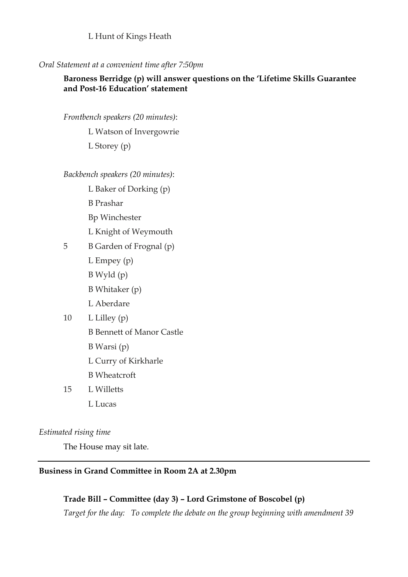L Hunt of Kings Heath

#### *Oral Statement at a convenient time after 7:50pm*

### **Baroness Berridge (p) will answer questions on the 'Lifetime Skills Guarantee and Post-16 Education' statement**

*Frontbench speakers (20 minutes)*:

L Watson of Invergowrie

L Storey (p)

#### *Backbench speakers (20 minutes)*:

- L Baker of Dorking (p)
- B Prashar
- Bp Winchester
- L Knight of Weymouth
- 5 B Garden of Frognal (p)
	- L Empey (p)
	- B Wyld (p)
	- B Whitaker (p)
	- L Aberdare
- 10  $L$  Lilley (p)
	- B Bennett of Manor Castle
	- B Warsi (p)
	- L Curry of Kirkharle
	- B Wheatcroft
- 15 L Willetts L Lucas

#### *Estimated rising time*

The House may sit late.

### **Business in Grand Committee in Room 2A at 2.30pm**

### **Trade Bill – Committee (day 3) – Lord Grimstone of Boscobel (p)**

*Target for the day: To complete the debate on the group beginning with amendment 39*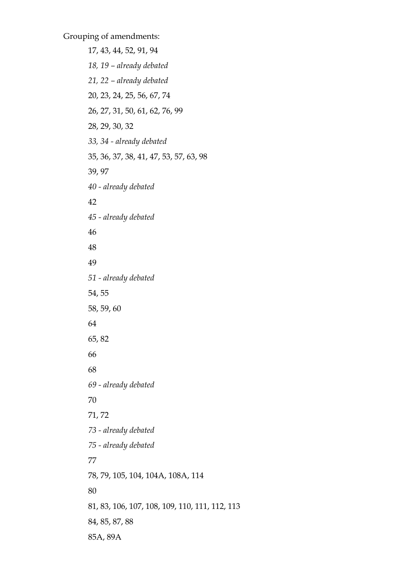Grouping of amendments:

17, 43, 44, 52, 91, 94 *18, 19 – already debated 21, 22 – already debated* 20, 23, 24, 25, 56, 67, 74 26, 27, 31, 50, 61, 62, 76, 99 28, 29, 30, 32 *33, 34 - already debated* 35, 36, 37, 38, 41, 47, 53, 57, 63, 98 39, 97 *40 - already debated* 42 *45 - already debated* 46 48 49 *51 - already debated* 54, 55 58, 59, 60 64 65, 82 66 68 *69 - already debated* 70 71, 72 *73 - already debated 75 - already debated* 77 78, 79, 105, 104, 104A, 108A, 114 80 81, 83, 106, 107, 108, 109, 110, 111, 112, 113 84, 85, 87, 88 85A, 89A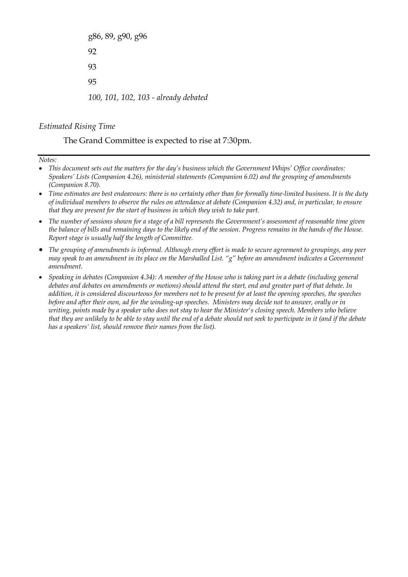g86, 89, g90, g96 92 93 95 *100, 101, 102, 103 - already debated* 

#### *Estimated Rising Time*

The Grand Committee is expected to rise at 7:30pm.

*Notes:*

- *This document sets out the matters for the day's business which the Government Whips' Office coordinates: Speakers' Lists (Companion 4.26), ministerial statements (Companion 6.02) and the grouping of amendments (Companion 8.70).*
- *Time estimates are best endeavours: there is no certainty other than for formally time-limited business. It is the duty of individual members to observe the rules on attendance at debate (Companion 4.32) and, in particular, to ensure that they are present for the start of business in which they wish to take part.*
- *The number of sessions shown for a stage of a bill represents the Government's assessment of reasonable time given the balance of bills and remaining days to the likely end of the session. Progress remains in the hands of the House. Report stage is usually half the length of Committee.*
- *The grouping of amendments is informal. Although every effort is made to secure agreement to groupings, any peer may speak to an amendment in its place on the Marshalled List. "g" before an amendment indicates a Government amendment.*
- *Speaking in debates (Companion 4.34): A member of the House who is taking part in a debate (including general debates and debates on amendments or motions) should attend the start, end and greater part of that debate. In addition, it is considered discourteous for members not to be present for at least the opening speeches, the speeches before and after their own, ad for the winding-up speeches. Ministers may decide not to answer, orally or in writing, points made by a speaker who does not stay to hear the Minister's closing speech. Members who believe that they are unlikely to be able to stay until the end of a debate should not seek to participate in it (and if the debate has a speakers' list, should remove their names from the list).*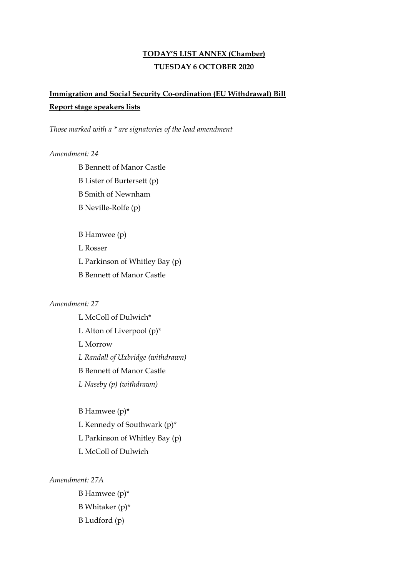## **TODAY'S LIST ANNEX (Chamber) TUESDAY 6 OCTOBER 2020**

# **Immigration and Social Security Co-ordination (EU Withdrawal) Bill Report stage speakers lists**

*Those marked with a \* are signatories of the lead amendment*

#### *Amendment: 24*

B Bennett of Manor Castle B Lister of Burtersett (p) B Smith of Newnham B Neville-Rolfe (p)

B Hamwee (p)

L Rosser

L Parkinson of Whitley Bay (p)

B Bennett of Manor Castle

#### *Amendment: 27*

L McColl of Dulwich\* L Alton of Liverpool (p)\* L Morrow *L Randall of Uxbridge (withdrawn)* B Bennett of Manor Castle *L Naseby (p) (withdrawn)*

B Hamwee (p)\* L Kennedy of Southwark (p)\* L Parkinson of Whitley Bay (p) L McColl of Dulwich

*Amendment: 27A*

B Hamwee (p)\* B Whitaker (p)\* B Ludford (p)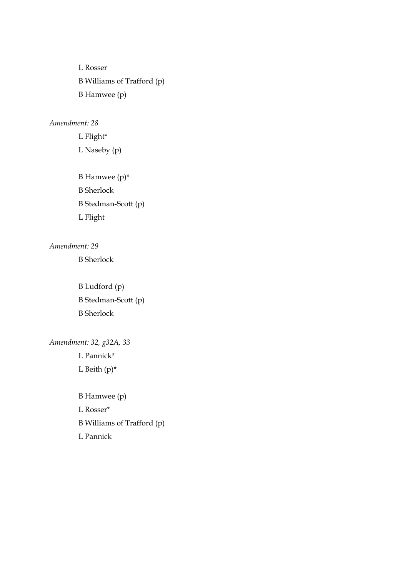L Rosser B Williams of Trafford (p) B Hamwee (p)

### *Amendment: 28*

L Flight\* L Naseby (p)

B Hamwee (p)\* B Sherlock B Stedman-Scott (p) L Flight

### *Amendment: 29*

B Sherlock

B Ludford (p) B Stedman-Scott (p) B Sherlock

*Amendment: 32, g32A, 33* L Pannick\* L Beith  $(p)^*$ 

> B Hamwee (p) L Rosser\* B Williams of Trafford (p) L Pannick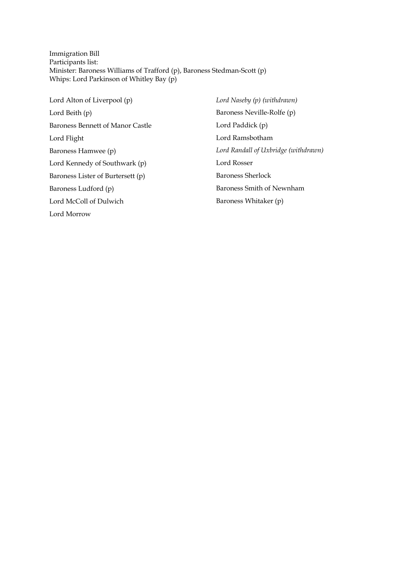Immigration Bill Participants list: Minister: Baroness Williams of Trafford (p), Baroness Stedman-Scott (p) Whips: Lord Parkinson of Whitley Bay (p)

Lord Alton of Liverpool (p) Lord Beith (p) Baroness Bennett of Manor Castle Lord Flight Baroness Hamwee (p) Lord Kennedy of Southwark (p) Baroness Lister of Burtersett (p) Baroness Ludford (p) Lord McColl of Dulwich Lord Morrow

*Lord Naseby (p) (withdrawn)* Baroness Neville-Rolfe (p) Lord Paddick (p) Lord Ramsbotham *Lord Randall of Uxbridge (withdrawn)* Lord Rosser Baroness Sherlock Baroness Smith of Newnham Baroness Whitaker (p)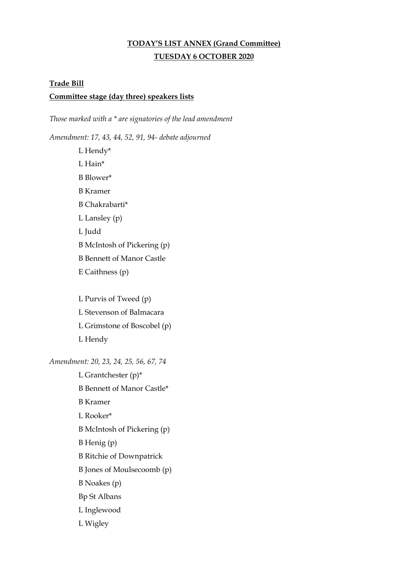# **TODAY'S LIST ANNEX (Grand Committee) TUESDAY 6 OCTOBER 2020**

#### **Trade Bill**

#### **Committee stage (day three) speakers lists**

*Those marked with a \* are signatories of the lead amendment*

*Amendment: 17, 43, 44, 52, 91, 94- debate adjourned*

L Hendy\* L Hain\* B Blower\* B Kramer B Chakrabarti\* L Lansley (p) L Judd B McIntosh of Pickering (p) B Bennett of Manor Castle E Caithness (p)

L Purvis of Tweed (p) L Stevenson of Balmacara L Grimstone of Boscobel (p) L Hendy

*Amendment: 20, 23, 24, 25, 56, 67, 74*

L Grantchester (p)\* B Bennett of Manor Castle\* B Kramer L Rooker\* B McIntosh of Pickering (p) B Henig (p) B Ritchie of Downpatrick B Jones of Moulsecoomb (p) B Noakes (p) Bp St Albans L Inglewood L Wigley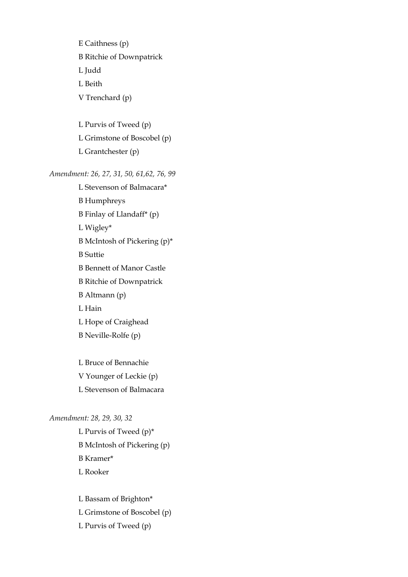E Caithness (p) B Ritchie of Downpatrick L Judd L Beith

L Purvis of Tweed (p) L Grimstone of Boscobel (p)

L Grantchester (p)

V Trenchard (p)

#### *Amendment: 26, 27, 31, 50, 61,62, 76, 99*

L Stevenson of Balmacara\* B Humphreys B Finlay of Llandaff\* (p) L Wigley\* B McIntosh of Pickering (p)\* B Suttie B Bennett of Manor Castle B Ritchie of Downpatrick B Altmann (p) L Hain L Hope of Craighead B Neville-Rolfe (p)

L Bruce of Bennachie V Younger of Leckie (p) L Stevenson of Balmacara

#### *Amendment: 28, 29, 30, 32*

L Purvis of Tweed (p)\* B McIntosh of Pickering (p) B Kramer\* L Rooker

L Bassam of Brighton\* L Grimstone of Boscobel (p) L Purvis of Tweed (p)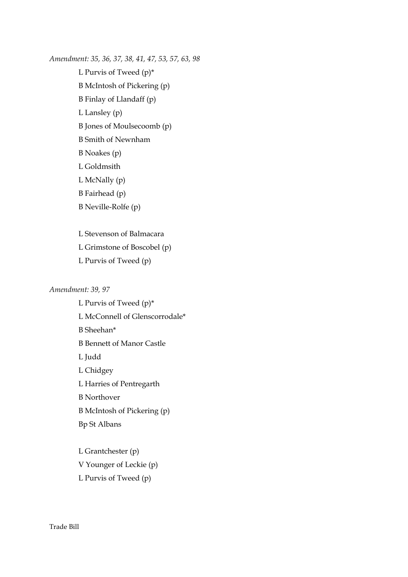*Amendment: 35, 36, 37, 38, 41, 47, 53, 57, 63, 98* L Purvis of Tweed (p)\* B McIntosh of Pickering (p) B Finlay of Llandaff (p) L Lansley (p) B Jones of Moulsecoomb (p) B Smith of Newnham B Noakes (p) L Goldmsith L McNally (p) B Fairhead (p) B Neville-Rolfe (p)

> L Stevenson of Balmacara L Grimstone of Boscobel (p) L Purvis of Tweed (p)

#### *Amendment: 39, 97*

L Purvis of Tweed (p)\* L McConnell of Glenscorrodale\* B Sheehan\* B Bennett of Manor Castle L Judd L Chidgey L Harries of Pentregarth B Northover B McIntosh of Pickering (p) Bp St Albans L Grantchester (p)

V Younger of Leckie (p) L Purvis of Tweed (p)